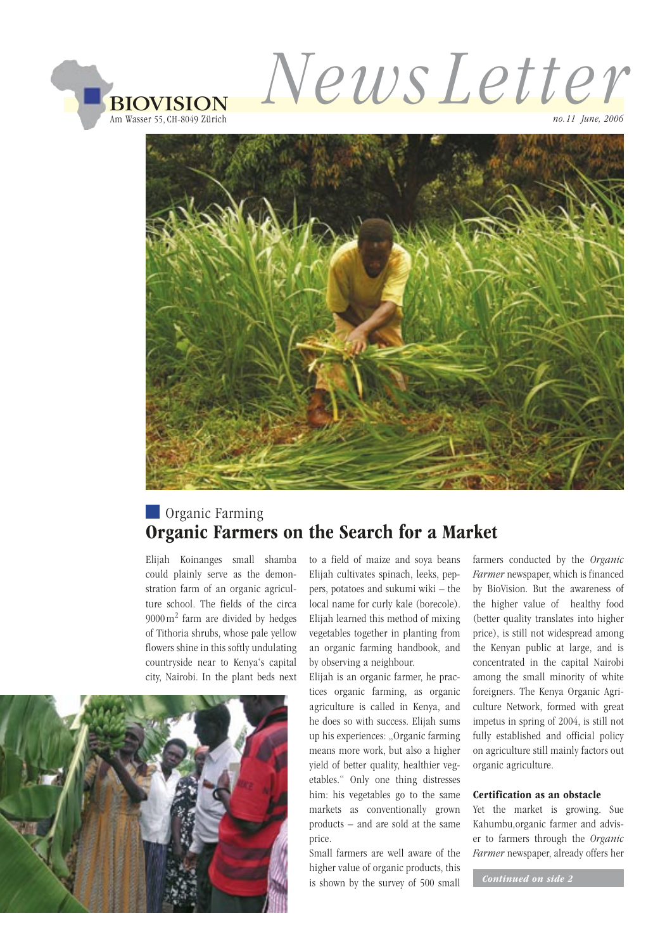

*News Letter*

*no.11 June, 2006*



## **Organic Farming** Organic Farmers on the Search for a Market

Elijah Koinanges small shamba could plainly serve as the demonstration farm of an organic agriculture school. The fields of the circa 9000 m2 farm are divided by hedges of Tithoria shrubs, whose pale yellow flowers shine in this softly undulating countryside near to Kenya's capital city, Nairobi. In the plant beds next



to a field of maize and soya beans Elijah cultivates spinach, leeks, peppers, potatoes and sukumi wiki – the local name for curly kale (borecole). Elijah learned this method of mixing vegetables together in planting from an organic farming handbook, and by observing a neighbour.

Elijah is an organic farmer, he practices organic farming, as organic agriculture is called in Kenya, and he does so with success. Elijah sums up his experiences: "Organic farming means more work, but also a higher yield of better quality, healthier vegetables." Only one thing distresses him: his vegetables go to the same markets as conventionally grown products – and are sold at the same price.

Small farmers are well aware of the higher value of organic products, this is shown by the survey of 500 small farmers conducted by the *Organic Farmer* newspaper, which is financed by BioVision. But the awareness of the higher value of healthy food (better quality translates into higher price), is still not widespread among the Kenyan public at large, and is concentrated in the capital Nairobi among the small minority of white foreigners. The Kenya Organic Agriculture Network, formed with great impetus in spring of 2004, is still not fully established and official policy on agriculture still mainly factors out organic agriculture.

#### Certification as an obstacle

Yet the market is growing. Sue Kahumbu,organic farmer and adviser to farmers through the *Organic Farmer* newspaper, already offers her

 *Continued on side 2*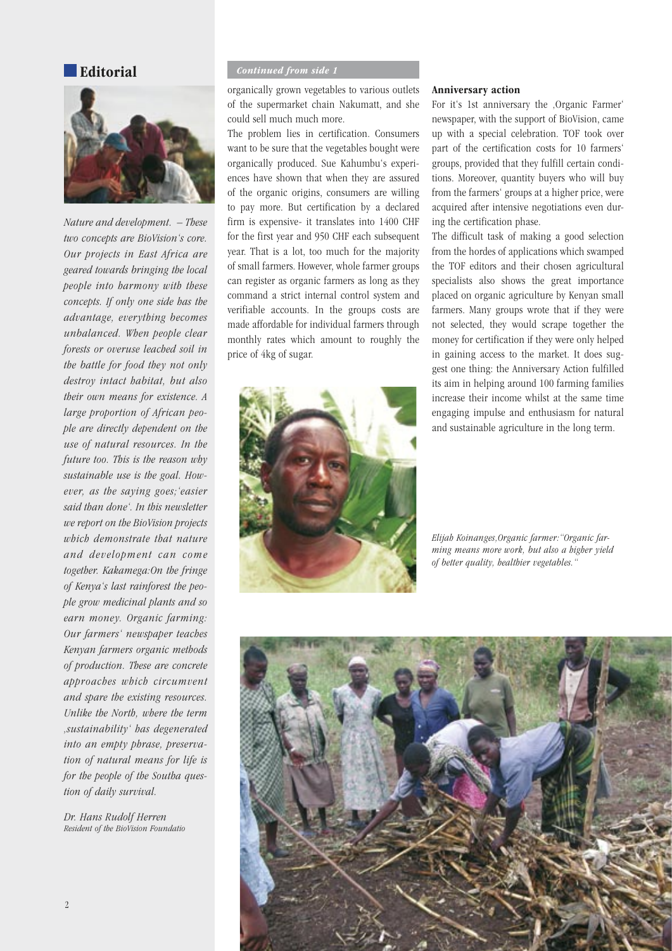#### **Editorial**



*Nature and development. – These two concepts are BioVision's core. Our projects in East Africa are geared towards bringing the local people into harmony with these concepts. If only one side has the advantage, everything becomes unbalanced. When people clear forests or overuse leached soil in the battle for food they not only destroy intact habitat, but also their own means for existence. A large proportion of African people are directly dependent on the use of natural resources. In the future too. This is the reason why sustainable use is the goal. However, as the saying goes;'easier said than done'. In this newsletter we report on the BioVision projects which demonstrate that nature and de velopment can come together. Kakamega:On the fringe of Kenya's last rainforest the people grow medicinal plants and so earn money. Organic farming: Our farmers' newspaper teaches Kenyan farmers organic methods of production. These are concrete approaches which circumvent and spare the existing resources. Unlike the North, where the term 'sustainability' has degenerated into an empty phrase, preservation of natural means for life is for the people of the Southa question of daily survival.*

*Dr. Hans Rudolf Herren Resident of the BioVision Foundatio*

### *Continued from side 1*

organically grown vegetables to various outlets of the supermarket chain Nakumatt, and she could sell much much more.

The problem lies in certification. Consumers want to be sure that the vegetables bought were organically produced. Sue Kahumbu's experiences have shown that when they are assured of the organic origins, consumers are willing to pay more. But certification by a declared firm is expensive- it translates into 1400 CHF for the first year and 950 CHF each subsequent year. That is a lot, too much for the majority of small farmers. However, whole farmer groups can register as organic farmers as long as they command a strict internal control system and verifiable accounts. In the groups costs are made affordable for individual farmers through monthly rates which amount to roughly the price of 4kg of sugar.



#### Anniversary action

For it's 1st anniversary the ,Organic Farmer' newspaper, with the support of BioVision, came up with a special celebration. TOF took over part of the certification costs for 10 farmers' groups, provided that they fulfill certain conditions. Moreover, quantity buyers who will buy from the farmers' groups at a higher price, were acquired after intensive negotiations even during the certification phase.

The difficult task of making a good selection from the hordes of applications which swamped the TOF editors and their chosen agricultural specialists also shows the great importance placed on organic agriculture by Kenyan small farmers. Many groups wrote that if they were not selected, they would scrape together the money for certification if they were only helped in gaining access to the market. It does suggest one thing: the Anniversary Action fulfilled its aim in helping around 100 farming families increase their income whilst at the same time engaging impulse and enthusiasm for natural and sustainable agriculture in the long term.

*Elijah Koinanges,Organic farmer:"Organic farming means more work, but also a higher yield of better quality, healthier vegetables."*

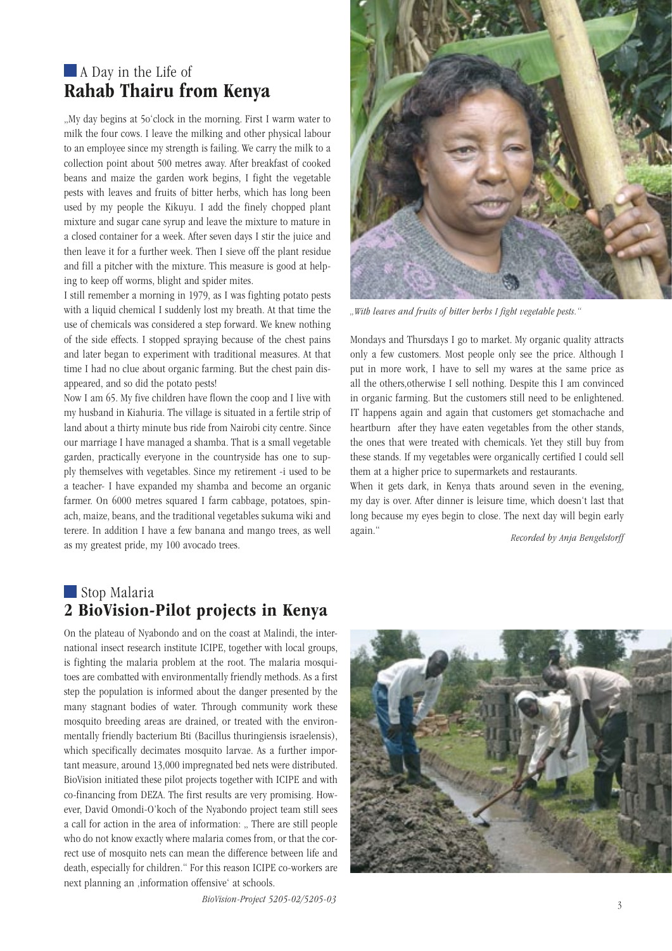### **A** Day in the Life of Rahab Thairu from Kenya

"My day begins at 5o'clock in the morning. First I warm water to milk the four cows. I leave the milking and other physical labour to an employee since my strength is failing. We carry the milk to a collection point about 500 metres away. After breakfast of cooked beans and maize the garden work begins, I fight the vegetable pests with leaves and fruits of bitter herbs, which has long been used by my people the Kikuyu. I add the finely chopped plant mixture and sugar cane syrup and leave the mixture to mature in a closed container for a week. After seven days I stir the juice and then leave it for a further week. Then I sieve off the plant residue and fill a pitcher with the mixture. This measure is good at helping to keep off worms, blight and spider mites.

I still remember a morning in 1979, as I was fighting potato pests with a liquid chemical I suddenly lost my breath. At that time the use of chemicals was considered a step forward. We knew nothing of the side effects. I stopped spraying because of the chest pains and later began to experiment with traditional measures. At that time I had no clue about organic farming. But the chest pain disappeared, and so did the potato pests!

Now I am 65. My five children have flown the coop and I live with my husband in Kiahuria. The village is situated in a fertile strip of land about a thirty minute bus ride from Nairobi city centre. Since our marriage I have managed a shamba. That is a small vegetable garden, practically everyone in the countryside has one to supply themselves with vegetables. Since my retirement -i used to be a teacher- I have expanded my shamba and become an organic farmer. On 6000 metres squared I farm cabbage, potatoes, spinach, maize, beans, and the traditional vegetables sukuma wiki and terere. In addition I have a few banana and mango trees, as well as my greatest pride, my 100 avocado trees. *as well* again. *Recorded by Anja Bengelstorff* as my greatest pride, my 100 avocado trees.

*"With leaves and fruits of bitter herbs I fight vegetable pests."*

Mondays and Thursdays I go to market. My organic quality attracts only a few customers. Most people only see the price. Although I put in more work, I have to sell my wares at the same price as all the others,otherwise I sell nothing. Despite this I am convinced in organic farming. But the customers still need to be enlightened. IT happens again and again that customers get stomachache and heartburn after they have eaten vegetables from the other stands, the ones that were treated with chemicals. Yet they still buy from these stands. If my vegetables were organically certified I could sell them at a higher price to supermarkets and restaurants.

When it gets dark, in Kenya thats around seven in the evening, my day is over. After dinner is leisure time, which doesn't last that long because my eyes begin to close. The next day will begin early again."

### Stop Malaria 2 BioVision-Pilot projects in Kenya

On the plateau of Nyabondo and on the coast at Malindi, the international insect research institute ICIPE, together with local groups, is fighting the malaria problem at the root. The malaria mosquitoes are combatted with environmentally friendly methods. As a first step the population is informed about the danger presented by the many stagnant bodies of water. Through community work these mosquito breeding areas are drained, or treated with the environmentally friendly bacterium Bti (Bacillus thuringiensis israelensis), which specifically decimates mosquito larvae. As a further important measure, around 13,000 impregnated bed nets were distributed. BioVision initiated these pilot projects together with ICIPE and with co-financing from DEZA. The first results are very promising. However, David Omondi-O'koch of the Nyabondo project team still sees a call for action in the area of information: .. There are still people who do not know exactly where malaria comes from, or that the correct use of mosquito nets can mean the difference between life and death, especially for children." For this reason ICIPE co-workers are next planning an ,information offensive' at schools.

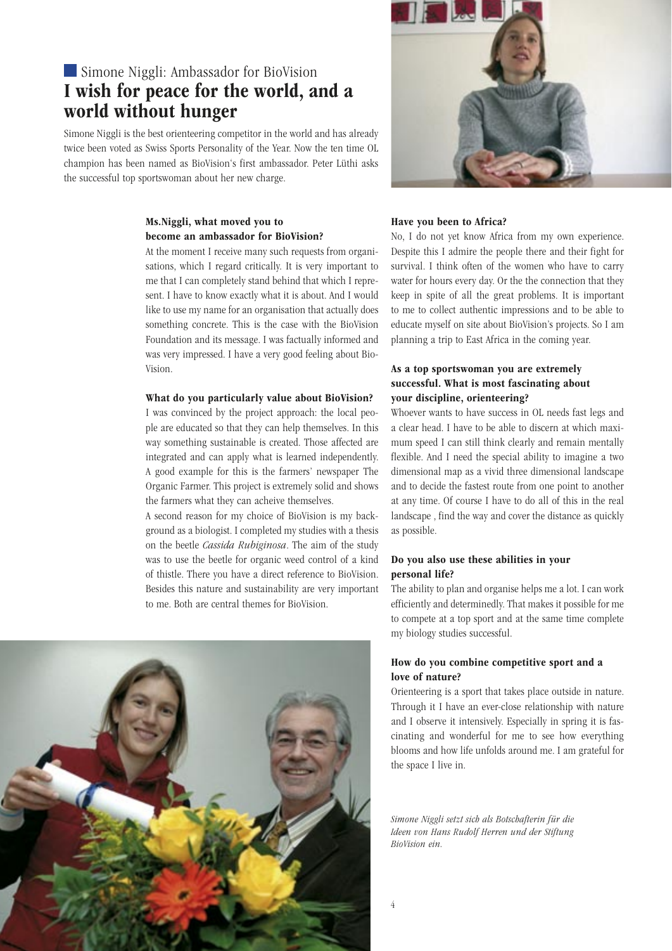### Simone Niggli: Ambassador for BioVision I wish for peace for the world, and a world without hunger

Simone Niggli is the best orienteering competitor in the world and has already twice been voted as Swiss Sports Personality of the Year. Now the ten time OL champion has been named as BioVision's first ambassador. Peter Lüthi asks the successful top sportswoman about her new charge.

#### Ms.Niggli, what moved you to become an ambassador for BioVision?

At the moment I receive many such requests from organisations, which I regard critically. It is very important to me that I can completely stand behind that which I represent. I have to know exactly what it is about. And I would like to use my name for an organisation that actually does something concrete. This is the case with the BioVision Foundation and its message. I was factually informed and was very impressed. I have a very good feeling about Bio-Vision.

#### What do you particularly value about BioVision?

I was convinced by the project approach: the local people are educated so that they can help themselves. In this way something sustainable is created. Those affected are integrated and can apply what is learned independently. A good example for this is the farmers' newspaper The Organic Farmer. This project is extremely solid and shows the farmers what they can acheive themselves.

A second reason for my choice of BioVision is my background as a biologist. I completed my studies with a thesis on the beetle *Cassida Rubiginosa*. The aim of the study was to use the beetle for organic weed control of a kind of thistle. There you have a direct reference to BioVision. Besides this nature and sustainability are very important to me. Both are central themes for BioVision.





#### Have you been to Africa?

No, I do not yet know Africa from my own experience. Despite this I admire the people there and their fight for survival. I think often of the women who have to carry water for hours every day. Or the the connection that they keep in spite of all the great problems. It is important to me to collect authentic impressions and to be able to educate myself on site about BioVision's projects. So I am planning a trip to East Africa in the coming year.

#### As a top sportswoman you are extremely successful. What is most fascinating about your discipline, orienteering?

Whoever wants to have success in OL needs fast legs and a clear head. I have to be able to discern at which maximum speed I can still think clearly and remain mentally flexible. And I need the special ability to imagine a two dimensional map as a vivid three dimensional landscape and to decide the fastest route from one point to another at any time. Of course I have to do all of this in the real landscape , find the way and cover the distance as quickly as possible.

#### Do you also use these abilities in your personal life?

The ability to plan and organise helps me a lot. I can work efficiently and determinedly. That makes it possible for me to compete at a top sport and at the same time complete my biology studies successful.

#### How do you combine competitive sport and a love of nature?

Orienteering is a sport that takes place outside in nature. Through it I have an ever-close relationship with nature and I observe it intensively. Especially in spring it is fascinating and wonderful for me to see how everything blooms and how life unfolds around me. I am grateful for the space I live in.

*Simone Niggli setzt sich als Botschafterin für die Ideen von Hans Rudolf Herren und der Stiftung BioVision ein.*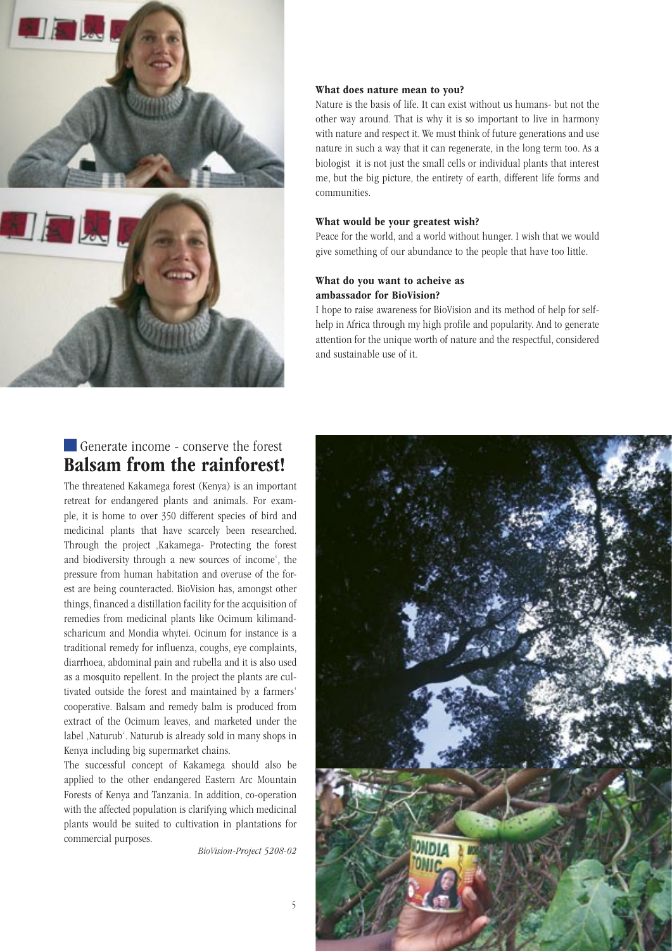

### Generate income - conserve the forest Balsam from the rainforest!

The threatened Kakamega forest (Kenya) is an important retreat for endangered plants and animals. For example, it is home to over 350 different species of bird and medicinal plants that have scarcely been researched. Through the project , Kakamega- Protecting the forest and biodiversity through a new sources of income', the pressure from human habitation and overuse of the forest are being counteracted. BioVision has, amongst other things, financed a distillation facility for the acquisition of remedies from medicinal plants like Ocimum kilimandscharicum and Mondia whytei. Ocinum for instance is a traditional remedy for influenza, coughs, eye complaints, diarrhoea, abdominal pain and rubella and it is also used as a mosquito repellent. In the project the plants are cultivated outside the forest and maintained by a farmers' cooperative. Balsam and remedy balm is produced from extract of the Ocimum leaves, and marketed under the label ,Naturub'. Naturub is already sold in many shops in Kenya including big supermarket chains.

The successful concept of Kakamega should also be applied to the other endangered Eastern Arc Mountain Forests of Kenya and Tanzania. In addition, co-operation with the affected population is clarifying which medicinal plants would be suited to cultivation in plantations for commercial purposes.

*BioVision-Project 5208-02*

#### What does nature mean to you?

Nature is the basis of life. It can exist without us humans- but not the other way around. That is why it is so important to live in harmony with nature and respect it. We must think of future generations and use nature in such a way that it can regenerate, in the long term too. As a biologist it is not just the small cells or individual plants that interest me, but the big picture, the entirety of earth, different life forms and communities.

#### What would be your greatest wish?

Peace for the world, and a world without hunger. I wish that we would give something of our abundance to the people that have too little.

#### What do you want to acheive as ambassador for BioVision?

I hope to raise awareness for BioVision and its method of help for selfhelp in Africa through my high profile and popularity. And to generate attention for the unique worth of nature and the respectful, considered and sustainable use of it.